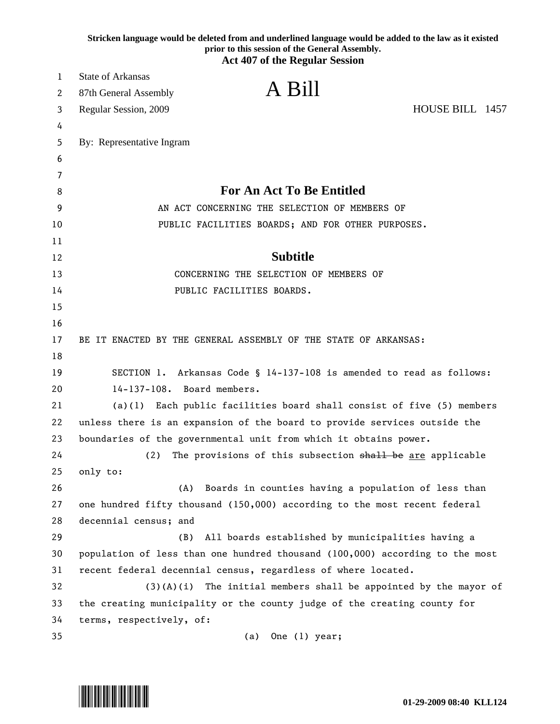|        | Stricken language would be deleted from and underlined language would be added to the law as it existed<br>prior to this session of the General Assembly.<br><b>Act 407 of the Regular Session</b> |
|--------|----------------------------------------------------------------------------------------------------------------------------------------------------------------------------------------------------|
| 1      | <b>State of Arkansas</b>                                                                                                                                                                           |
|        | A Bill                                                                                                                                                                                             |
| 2      | 87th General Assembly                                                                                                                                                                              |
| 3      | HOUSE BILL 1457<br>Regular Session, 2009                                                                                                                                                           |
| 4<br>5 | By: Representative Ingram                                                                                                                                                                          |
| 6      |                                                                                                                                                                                                    |
| 7      |                                                                                                                                                                                                    |
| 8      | <b>For An Act To Be Entitled</b>                                                                                                                                                                   |
| 9      | AN ACT CONCERNING THE SELECTION OF MEMBERS OF                                                                                                                                                      |
| 10     | PUBLIC FACILITIES BOARDS; AND FOR OTHER PURPOSES.                                                                                                                                                  |
| 11     |                                                                                                                                                                                                    |
| 12     | <b>Subtitle</b>                                                                                                                                                                                    |
| 13     | CONCERNING THE SELECTION OF MEMBERS OF                                                                                                                                                             |
| 14     | PUBLIC FACILITIES BOARDS.                                                                                                                                                                          |
| 15     |                                                                                                                                                                                                    |
| 16     |                                                                                                                                                                                                    |
| 17     | BE IT ENACTED BY THE GENERAL ASSEMBLY OF THE STATE OF ARKANSAS:                                                                                                                                    |
| 18     |                                                                                                                                                                                                    |
| 19     | SECTION 1. Arkansas Code § 14-137-108 is amended to read as follows:                                                                                                                               |
| 20     | 14-137-108. Board members.                                                                                                                                                                         |
| 21     | Each public facilities board shall consist of five (5) members<br>(a)(1)                                                                                                                           |
| 22     | unless there is an expansion of the board to provide services outside the                                                                                                                          |
| 23     | boundaries of the governmental unit from which it obtains power.                                                                                                                                   |
| 24     | (2)<br>The provisions of this subsection shall be are applicable                                                                                                                                   |
| 25     | only to:                                                                                                                                                                                           |
| 26     | Boards in counties having a population of less than<br>(A)                                                                                                                                         |
| 27     | one hundred fifty thousand (150,000) according to the most recent federal                                                                                                                          |
| 28     | decennial census; and                                                                                                                                                                              |
| 29     | (B)<br>All boards established by municipalities having a                                                                                                                                           |
| 30     | population of less than one hundred thousand (100,000) according to the most                                                                                                                       |
| 31     | recent federal decennial census, regardless of where located.                                                                                                                                      |
| 32     | $(3)(A)(i)$ The initial members shall be appointed by the mayor of                                                                                                                                 |
| 33     | the creating municipality or the county judge of the creating county for                                                                                                                           |
| 34     | terms, respectively, of:                                                                                                                                                                           |
| 35     | One (1) year;<br>(a)                                                                                                                                                                               |

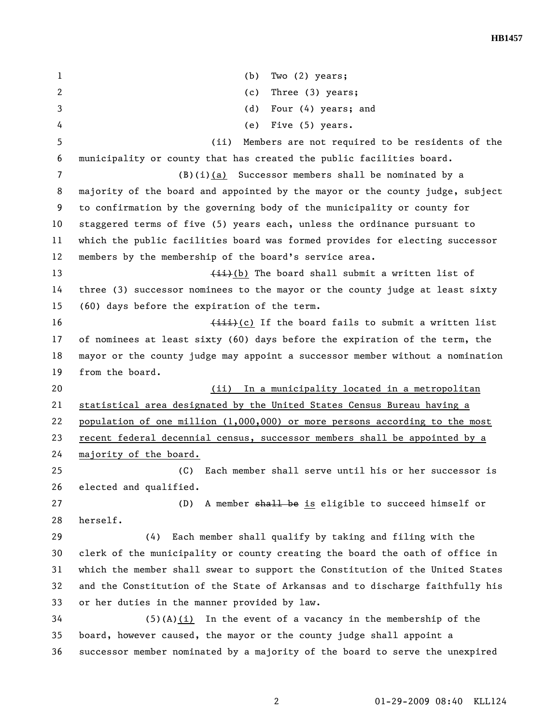1 (b) Two (2) years; 2 (c) Three (3) years; 3 (d) Four (4) years; and 4 (e) Five (5) years. 5 (ii) Members are not required to be residents of the 6 municipality or county that has created the public facilities board. 7 (B)(i)(a) Successor members shall be nominated by a 8 majority of the board and appointed by the mayor or the county judge, subject 9 to confirmation by the governing body of the municipality or county for 10 staggered terms of five (5) years each, unless the ordinance pursuant to 11 which the public facilities board was formed provides for electing successor 12 members by the membership of the board's service area. 13 (ii)(b) The board shall submit a written list of 14 three (3) successor nominees to the mayor or the county judge at least sixty 15 (60) days before the expiration of the term. 16  $\leftarrow$   $\leftarrow$   $\leftarrow$   $\leftarrow$   $\leftarrow$   $\leftarrow$   $\leftarrow$   $\leftarrow$   $\leftarrow$   $\leftarrow$   $\leftarrow$   $\leftarrow$   $\leftarrow$   $\leftarrow$   $\leftarrow$   $\leftarrow$   $\leftarrow$   $\leftarrow$   $\leftarrow$   $\leftarrow$   $\leftarrow$   $\leftarrow$   $\leftarrow$   $\leftarrow$   $\leftarrow$   $\leftarrow$   $\leftarrow$   $\leftarrow$   $\leftarrow$   $\leftarrow$   $\leftarrow$   $\leftarrow$   $\leftarrow$   $\leftarrow$   $\leftarrow$   $\leftarrow$   $\$ 17 of nominees at least sixty (60) days before the expiration of the term, the 18 mayor or the county judge may appoint a successor member without a nomination 19 from the board. 20 (ii) In a municipality located in a metropolitan 21 statistical area designated by the United States Census Bureau having a 22 population of one million (1,000,000) or more persons according to the most 23 recent federal decennial census, successor members shall be appointed by a 24 majority of the board. 25 (C) Each member shall serve until his or her successor is 26 elected and qualified. 27 (D) A member shall be is eligible to succeed himself or 28 herself. 29 (4) Each member shall qualify by taking and filing with the 30 clerk of the municipality or county creating the board the oath of office in 31 which the member shall swear to support the Constitution of the United States 32 and the Constitution of the State of Arkansas and to discharge faithfully his 33 or her duties in the manner provided by law. 34 (5)(A)(i) In the event of a vacancy in the membership of the 35 board, however caused, the mayor or the county judge shall appoint a 36 successor member nominated by a majority of the board to serve the unexpired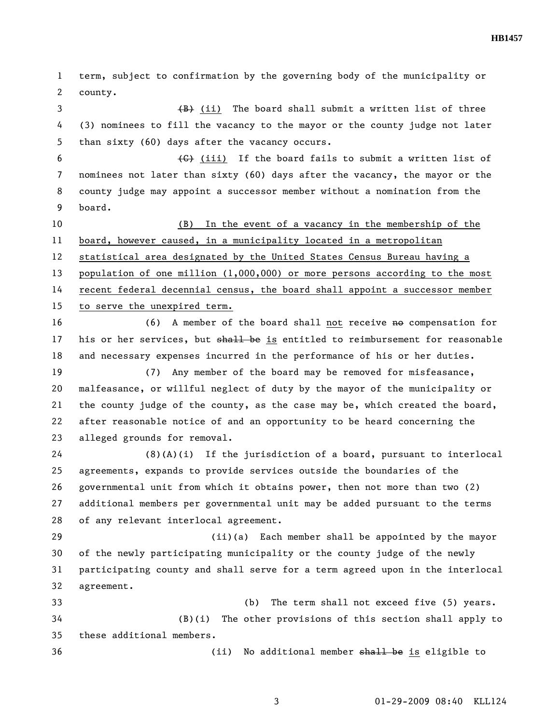**HB1457** 

1 term, subject to confirmation by the governing body of the municipality or 2 county. 3 (B) (ii) The board shall submit a written list of three 4 (3) nominees to fill the vacancy to the mayor or the county judge not later 5 than sixty (60) days after the vacancy occurs. 6  $\left\{\text{G}\right\}$  (iii) If the board fails to submit a written list of 7 nominees not later than sixty (60) days after the vacancy, the mayor or the 8 county judge may appoint a successor member without a nomination from the 9 board. 10 (B) In the event of a vacancy in the membership of the 11 board, however caused, in a municipality located in a metropolitan 12 statistical area designated by the United States Census Bureau having a 13 population of one million (1,000,000) or more persons according to the most 14 recent federal decennial census, the board shall appoint a successor member 15 to serve the unexpired term. 16 (6) A member of the board shall not receive no compensation for 17 his or her services, but shall be is entitled to reimbursement for reasonable 18 and necessary expenses incurred in the performance of his or her duties. 19 (7) Any member of the board may be removed for misfeasance, 20 malfeasance, or willful neglect of duty by the mayor of the municipality or 21 the county judge of the county, as the case may be, which created the board, 22 after reasonable notice of and an opportunity to be heard concerning the 23 alleged grounds for removal. 24 (8)(A)(i) If the jurisdiction of a board, pursuant to interlocal 25 agreements, expands to provide services outside the boundaries of the 26 governmental unit from which it obtains power, then not more than two (2) 27 additional members per governmental unit may be added pursuant to the terms 28 of any relevant interlocal agreement. 29 (ii)(a) Each member shall be appointed by the mayor 30 of the newly participating municipality or the county judge of the newly 31 participating county and shall serve for a term agreed upon in the interlocal 32 agreement. 33 (b) The term shall not exceed five (5) years. 34 (B)(i) The other provisions of this section shall apply to 35 these additional members. 36 (ii) No additional member <del>shall be</del> is eligible to

3 01-29-2009 08:40 KLL124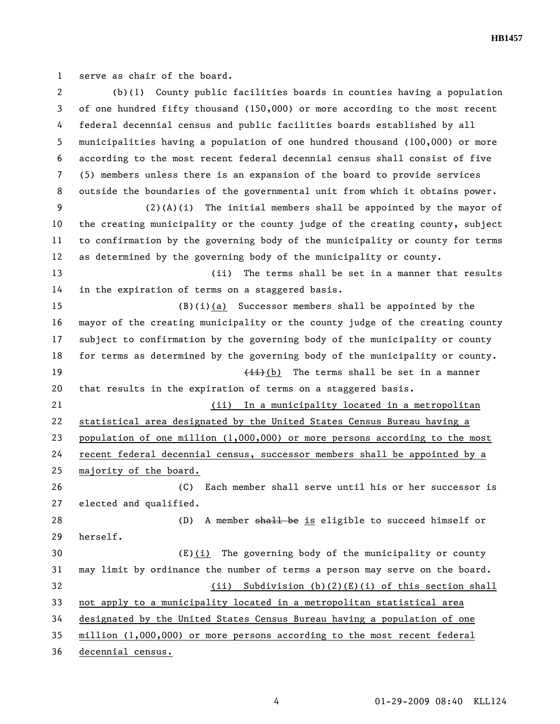**HB1457** 

1 serve as chair of the board.

| 2  | $(b)(1)$ County public facilities boards in counties having a population      |
|----|-------------------------------------------------------------------------------|
| 3  | of one hundred fifty thousand (150,000) or more according to the most recent  |
| 4  | federal decennial census and public facilities boards established by all      |
| 5  | municipalities having a population of one hundred thousand (100,000) or more  |
| 6  | according to the most recent federal decennial census shall consist of five   |
| 7  | (5) members unless there is an expansion of the board to provide services     |
| 8  | outside the boundaries of the governmental unit from which it obtains power.  |
| 9  | $(2)(A)(i)$ The initial members shall be appointed by the mayor of            |
| 10 | the creating municipality or the county judge of the creating county, subject |
| 11 | to confirmation by the governing body of the municipality or county for terms |
| 12 | as determined by the governing body of the municipality or county.            |
| 13 | (ii)<br>The terms shall be set in a manner that results                       |
| 14 | in the expiration of terms on a staggered basis.                              |
| 15 | $(B)(i)(a)$ Successor members shall be appointed by the                       |
| 16 | mayor of the creating municipality or the county judge of the creating county |
| 17 | subject to confirmation by the governing body of the municipality or county   |
| 18 | for terms as determined by the governing body of the municipality or county.  |
| 19 | $(iii)(b)$ The terms shall be set in a manner                                 |
| 20 | that results in the expiration of terms on a staggered basis.                 |
| 21 | In a municipality located in a metropolitan<br>(ii)                           |
| 22 | statistical area designated by the United States Census Bureau having a       |
| 23 | population of one million $(1,000,000)$ or more persons according to the most |
| 24 | recent federal decennial census, successor members shall be appointed by a    |
| 25 | majority of the board.                                                        |
| 26 | (C) Each member shall serve until his or her successor is                     |
| 27 | elected and qualified.                                                        |
| 28 | A member shall be is eligible to succeed himself or<br>(D)                    |
| 29 | herself.                                                                      |
| 30 | (E)(i) The governing body of the municipality or county                       |
| 31 | may limit by ordinance the number of terms a person may serve on the board.   |
| 32 | Subdivision $(b)(2)(E)(i)$ of this section shall<br>(ii)                      |
| 33 | not apply to a municipality located in a metropolitan statistical area        |
| 34 | designated by the United States Census Bureau having a population of one      |
| 35 | million (1,000,000) or more persons according to the most recent federal      |
| 36 | decennial census.                                                             |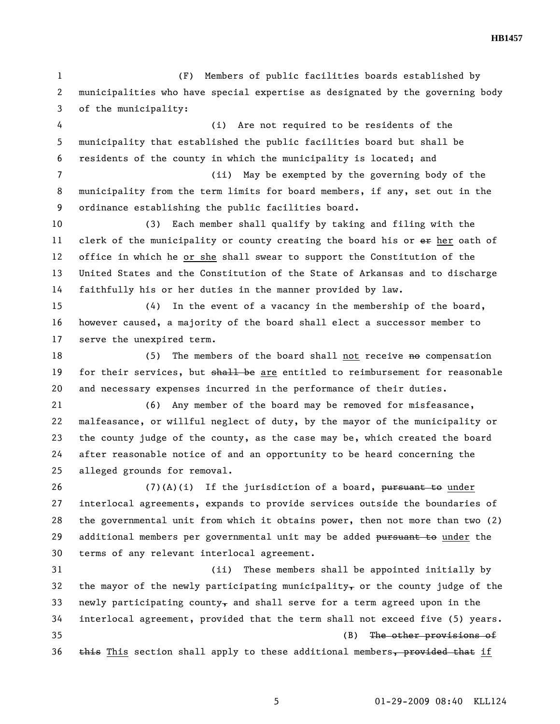1 (F) Members of public facilities boards established by 2 municipalities who have special expertise as designated by the governing body 3 of the municipality:

4 (i) Are not required to be residents of the 5 municipality that established the public facilities board but shall be 6 residents of the county in which the municipality is located; and

7 (ii) May be exempted by the governing body of the 8 municipality from the term limits for board members, if any, set out in the 9 ordinance establishing the public facilities board.

10 (3) Each member shall qualify by taking and filing with the 11 clerk of the municipality or county creating the board his or ex her oath of 12 office in which he or she shall swear to support the Constitution of the 13 United States and the Constitution of the State of Arkansas and to discharge 14 faithfully his or her duties in the manner provided by law.

15 (4) In the event of a vacancy in the membership of the board, 16 however caused, a majority of the board shall elect a successor member to 17 serve the unexpired term.

18 (5) The members of the board shall not receive no compensation 19 for their services, but shall be are entitled to reimbursement for reasonable 20 and necessary expenses incurred in the performance of their duties.

21 (6) Any member of the board may be removed for misfeasance, 22 malfeasance, or willful neglect of duty, by the mayor of the municipality or 23 the county judge of the county, as the case may be, which created the board 24 after reasonable notice of and an opportunity to be heard concerning the 25 alleged grounds for removal.

26 (7)(A)(i) If the jurisdiction of a board, pursuant to under 27 interlocal agreements, expands to provide services outside the boundaries of 28 the governmental unit from which it obtains power, then not more than two (2) 29 additional members per governmental unit may be added pursuant to under the 30 terms of any relevant interlocal agreement.

31 (ii) These members shall be appointed initially by 32 the mayor of the newly participating municipality, or the county judge of the 33 newly participating county, and shall serve for a term agreed upon in the 34 interlocal agreement, provided that the term shall not exceed five (5) years. 35 (B) The other provisions of  $36$  this section shall apply to these additional members, provided that if